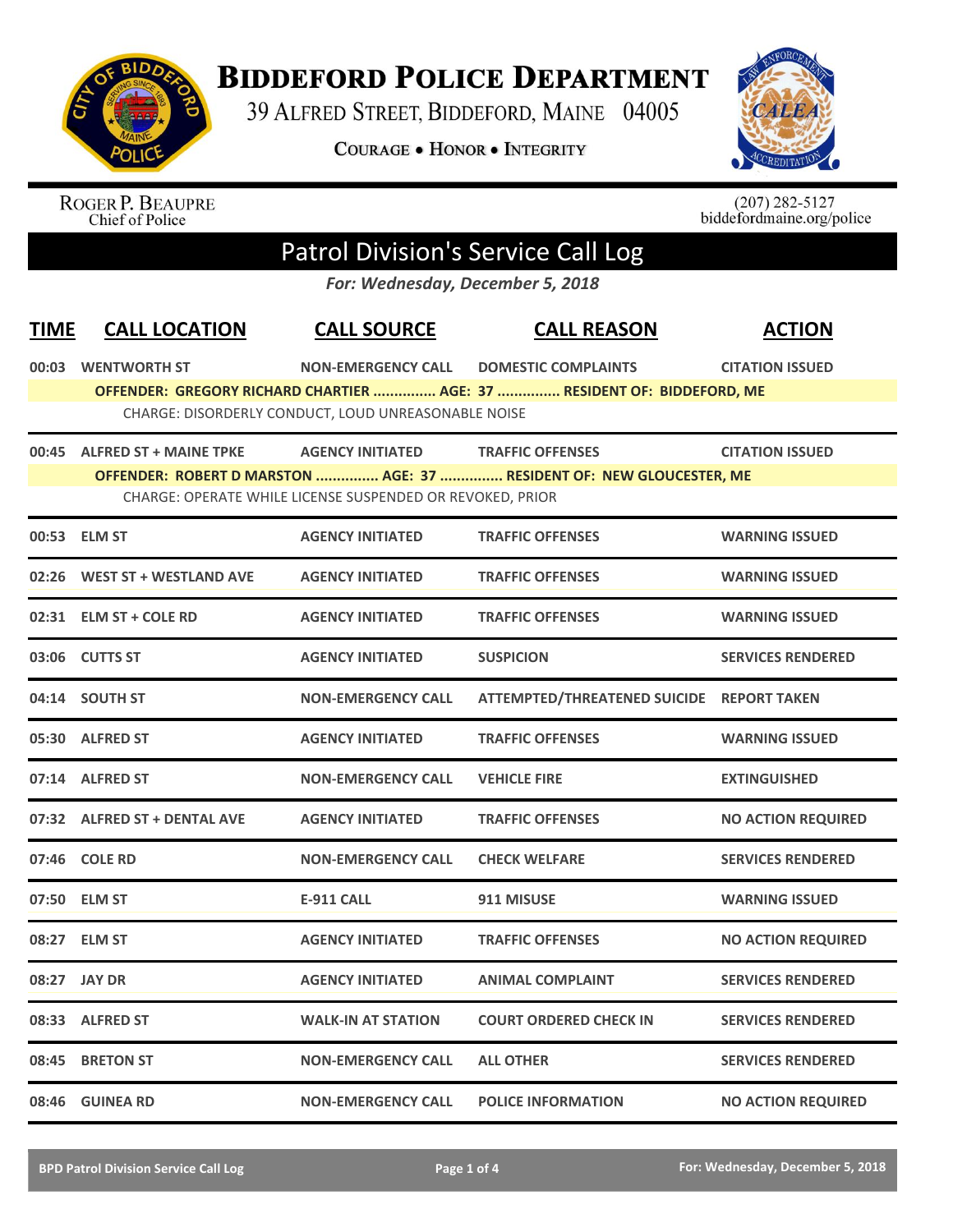

**BIDDEFORD POLICE DEPARTMENT** 

39 ALFRED STREET, BIDDEFORD, MAINE 04005

**COURAGE . HONOR . INTEGRITY** 



ROGER P. BEAUPRE<br>Chief of Police

 $(207)$  282-5127<br>biddefordmaine.org/police

## Patrol Division's Service Call Log

*For: Wednesday, December 5, 2018*

| <b>TIME</b> | <b>CALL LOCATION</b>         | <b>CALL SOURCE</b>                                        | <b>CALL REASON</b>                                                      | <b>ACTION</b>             |
|-------------|------------------------------|-----------------------------------------------------------|-------------------------------------------------------------------------|---------------------------|
|             | 00:03 WENTWORTH ST           | <b>NON-EMERGENCY CALL</b>                                 | <b>DOMESTIC COMPLAINTS</b>                                              | <b>CITATION ISSUED</b>    |
|             |                              |                                                           | OFFENDER: GREGORY RICHARD CHARTIER  AGE: 37  RESIDENT OF: BIDDEFORD, ME |                           |
|             |                              | CHARGE: DISORDERLY CONDUCT, LOUD UNREASONABLE NOISE       |                                                                         |                           |
|             | 00:45 ALFRED ST + MAINE TPKE | <b>AGENCY INITIATED</b>                                   | <b>TRAFFIC OFFENSES</b>                                                 | <b>CITATION ISSUED</b>    |
|             |                              |                                                           | OFFENDER: ROBERT D MARSTON  AGE: 37  RESIDENT OF: NEW GLOUCESTER, ME    |                           |
|             |                              | CHARGE: OPERATE WHILE LICENSE SUSPENDED OR REVOKED, PRIOR |                                                                         |                           |
|             | 00:53 ELM ST                 | <b>AGENCY INITIATED</b>                                   | <b>TRAFFIC OFFENSES</b>                                                 | <b>WARNING ISSUED</b>     |
|             | 02:26 WEST ST + WESTLAND AVE | <b>AGENCY INITIATED</b>                                   | <b>TRAFFIC OFFENSES</b>                                                 | <b>WARNING ISSUED</b>     |
|             | 02:31 ELM ST + COLE RD       | <b>AGENCY INITIATED</b>                                   | <b>TRAFFIC OFFENSES</b>                                                 | <b>WARNING ISSUED</b>     |
|             | 03:06 CUTTS ST               | <b>AGENCY INITIATED</b>                                   | <b>SUSPICION</b>                                                        | <b>SERVICES RENDERED</b>  |
|             | 04:14 SOUTH ST               | <b>NON-EMERGENCY CALL</b>                                 | ATTEMPTED/THREATENED SUICIDE REPORT TAKEN                               |                           |
|             | 05:30 ALFRED ST              | <b>AGENCY INITIATED</b>                                   | <b>TRAFFIC OFFENSES</b>                                                 | <b>WARNING ISSUED</b>     |
|             | 07:14 ALFRED ST              | <b>NON-EMERGENCY CALL</b>                                 | <b>VEHICLE FIRE</b>                                                     | <b>EXTINGUISHED</b>       |
|             | 07:32 ALFRED ST + DENTAL AVE | <b>AGENCY INITIATED</b>                                   | <b>TRAFFIC OFFENSES</b>                                                 | <b>NO ACTION REQUIRED</b> |
|             | 07:46 COLE RD                | <b>NON-EMERGENCY CALL</b>                                 | <b>CHECK WELFARE</b>                                                    | <b>SERVICES RENDERED</b>  |
|             | 07:50 ELM ST                 | <b>E-911 CALL</b>                                         | 911 MISUSE                                                              | <b>WARNING ISSUED</b>     |
|             | 08:27 ELM ST                 | <b>AGENCY INITIATED</b>                                   | <b>TRAFFIC OFFENSES</b>                                                 | <b>NO ACTION REQUIRED</b> |
|             | 08:27 JAY DR                 | <b>AGENCY INITIATED</b>                                   | <b>ANIMAL COMPLAINT</b>                                                 | <b>SERVICES RENDERED</b>  |
|             | 08:33 ALFRED ST              | <b>WALK-IN AT STATION</b>                                 | <b>COURT ORDERED CHECK IN</b>                                           | <b>SERVICES RENDERED</b>  |
| 08:45       | <b>BRETON ST</b>             | <b>NON-EMERGENCY CALL</b>                                 | <b>ALL OTHER</b>                                                        | <b>SERVICES RENDERED</b>  |
|             | 08:46 GUINEA RD              | <b>NON-EMERGENCY CALL</b>                                 | <b>POLICE INFORMATION</b>                                               | <b>NO ACTION REQUIRED</b> |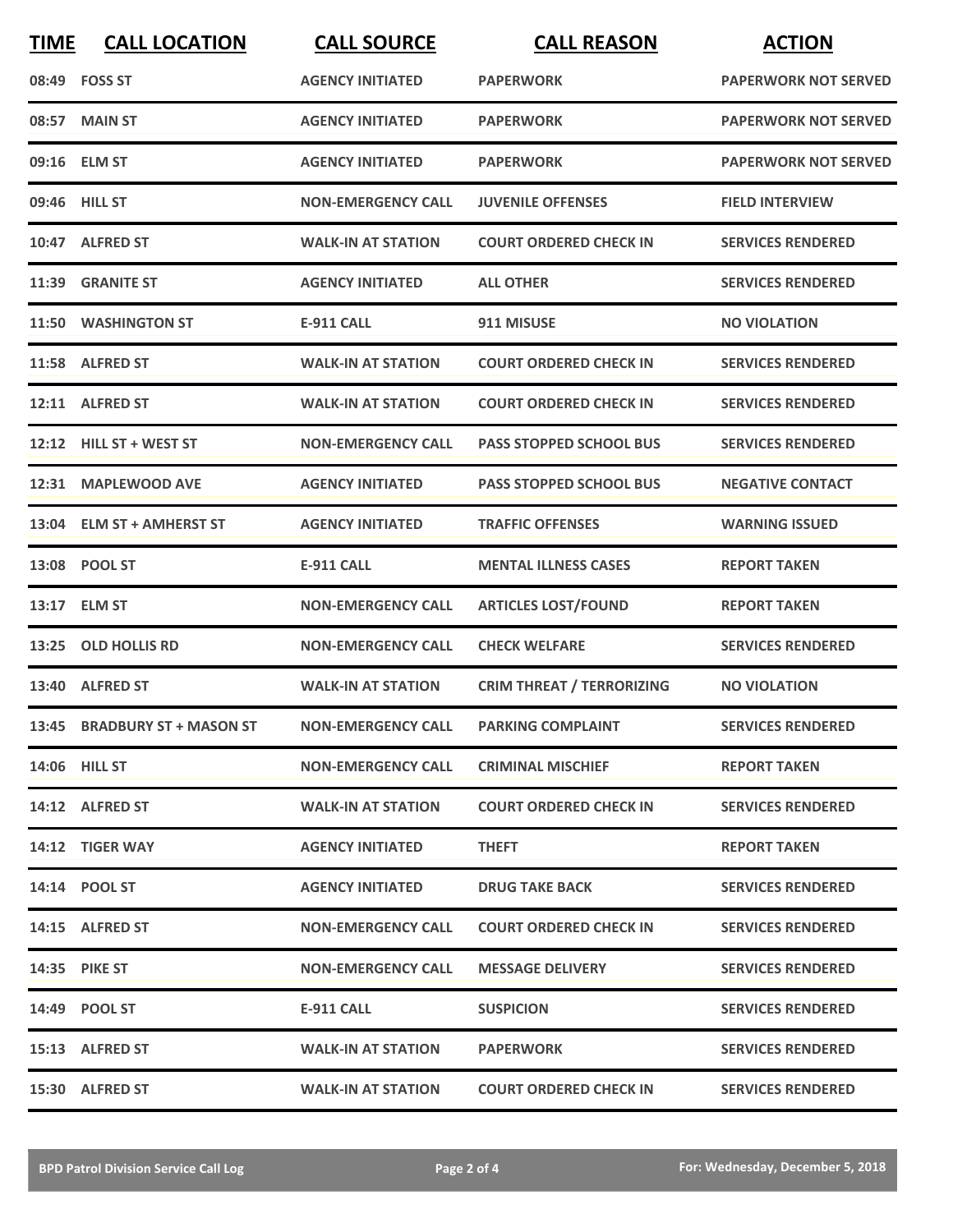| <b>TIME</b> | <b>CALL LOCATION</b>         | <b>CALL SOURCE</b>        | <b>CALL REASON</b>               | <b>ACTION</b>               |
|-------------|------------------------------|---------------------------|----------------------------------|-----------------------------|
|             | 08:49 FOSS ST                | <b>AGENCY INITIATED</b>   | <b>PAPERWORK</b>                 | <b>PAPERWORK NOT SERVED</b> |
|             | 08:57 MAIN ST                | <b>AGENCY INITIATED</b>   | <b>PAPERWORK</b>                 | <b>PAPERWORK NOT SERVED</b> |
|             | 09:16 ELM ST                 | <b>AGENCY INITIATED</b>   | <b>PAPERWORK</b>                 | <b>PAPERWORK NOT SERVED</b> |
|             | 09:46 HILL ST                | <b>NON-EMERGENCY CALL</b> | <b>JUVENILE OFFENSES</b>         | <b>FIELD INTERVIEW</b>      |
|             | 10:47 ALFRED ST              | <b>WALK-IN AT STATION</b> | <b>COURT ORDERED CHECK IN</b>    | <b>SERVICES RENDERED</b>    |
|             | 11:39 GRANITE ST             | <b>AGENCY INITIATED</b>   | <b>ALL OTHER</b>                 | <b>SERVICES RENDERED</b>    |
|             | 11:50 WASHINGTON ST          | <b>E-911 CALL</b>         | 911 MISUSE                       | <b>NO VIOLATION</b>         |
|             | 11:58 ALFRED ST              | <b>WALK-IN AT STATION</b> | <b>COURT ORDERED CHECK IN</b>    | <b>SERVICES RENDERED</b>    |
|             | 12:11 ALFRED ST              | <b>WALK-IN AT STATION</b> | <b>COURT ORDERED CHECK IN</b>    | <b>SERVICES RENDERED</b>    |
|             | 12:12 HILL ST + WEST ST      | <b>NON-EMERGENCY CALL</b> | <b>PASS STOPPED SCHOOL BUS</b>   | <b>SERVICES RENDERED</b>    |
|             | 12:31 MAPLEWOOD AVE          | <b>AGENCY INITIATED</b>   | <b>PASS STOPPED SCHOOL BUS</b>   | <b>NEGATIVE CONTACT</b>     |
| 13:04       | <b>ELM ST + AMHERST ST</b>   | <b>AGENCY INITIATED</b>   | <b>TRAFFIC OFFENSES</b>          | <b>WARNING ISSUED</b>       |
|             | 13:08 POOL ST                | <b>E-911 CALL</b>         | <b>MENTAL ILLNESS CASES</b>      | <b>REPORT TAKEN</b>         |
|             | 13:17 ELM ST                 | <b>NON-EMERGENCY CALL</b> | <b>ARTICLES LOST/FOUND</b>       | <b>REPORT TAKEN</b>         |
| 13:25       | <b>OLD HOLLIS RD</b>         | <b>NON-EMERGENCY CALL</b> | <b>CHECK WELFARE</b>             | <b>SERVICES RENDERED</b>    |
|             | 13:40 ALFRED ST              | <b>WALK-IN AT STATION</b> | <b>CRIM THREAT / TERRORIZING</b> | <b>NO VIOLATION</b>         |
|             | 13:45 BRADBURY ST + MASON ST | <b>NON-EMERGENCY CALL</b> | <b>PARKING COMPLAINT</b>         | <b>SERVICES RENDERED</b>    |
|             | 14:06 HILL ST                | <b>NON-EMERGENCY CALL</b> | <b>CRIMINAL MISCHIEF</b>         | <b>REPORT TAKEN</b>         |
|             | 14:12 ALFRED ST              | <b>WALK-IN AT STATION</b> | <b>COURT ORDERED CHECK IN</b>    | <b>SERVICES RENDERED</b>    |
|             | 14:12 TIGER WAY              | <b>AGENCY INITIATED</b>   | <b>THEFT</b>                     | <b>REPORT TAKEN</b>         |
|             | 14:14 POOL ST                | <b>AGENCY INITIATED</b>   | <b>DRUG TAKE BACK</b>            | <b>SERVICES RENDERED</b>    |
|             | 14:15 ALFRED ST              | <b>NON-EMERGENCY CALL</b> | <b>COURT ORDERED CHECK IN</b>    | <b>SERVICES RENDERED</b>    |
|             | <b>14:35 PIKE ST</b>         | <b>NON-EMERGENCY CALL</b> | <b>MESSAGE DELIVERY</b>          | <b>SERVICES RENDERED</b>    |
|             | 14:49 POOL ST                | E-911 CALL                | <b>SUSPICION</b>                 | <b>SERVICES RENDERED</b>    |
|             | 15:13 ALFRED ST              | <b>WALK-IN AT STATION</b> | <b>PAPERWORK</b>                 | <b>SERVICES RENDERED</b>    |
|             | 15:30 ALFRED ST              | <b>WALK-IN AT STATION</b> | <b>COURT ORDERED CHECK IN</b>    | <b>SERVICES RENDERED</b>    |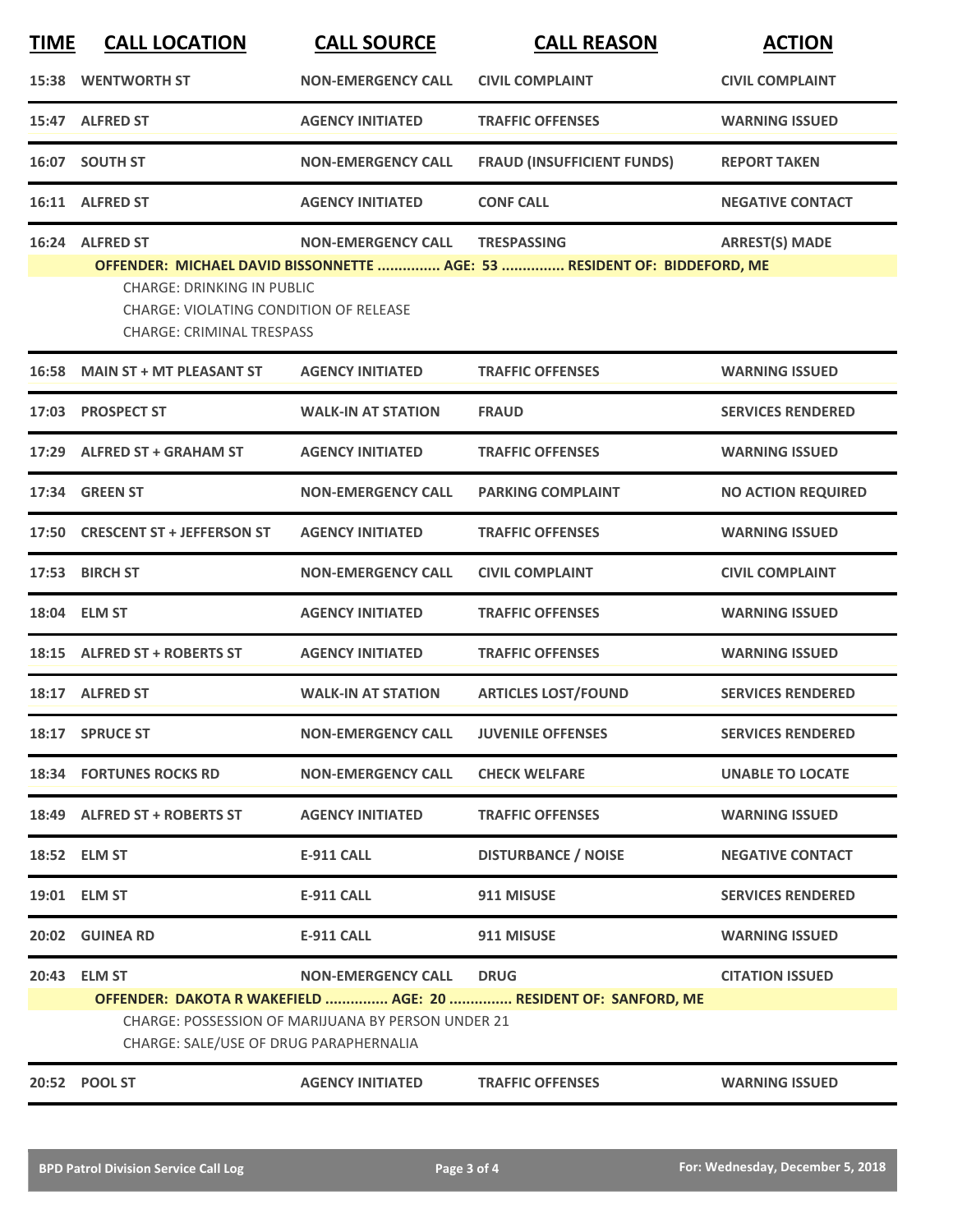| <b>TIME</b> | <b>CALL LOCATION</b>                                                                                                                       | <b>CALL SOURCE</b>                                                              | <b>CALL REASON</b>                                                                             | <b>ACTION</b>             |
|-------------|--------------------------------------------------------------------------------------------------------------------------------------------|---------------------------------------------------------------------------------|------------------------------------------------------------------------------------------------|---------------------------|
| 15:38       | <b>WENTWORTH ST</b>                                                                                                                        | <b>NON-EMERGENCY CALL</b>                                                       | <b>CIVIL COMPLAINT</b>                                                                         | <b>CIVIL COMPLAINT</b>    |
|             | 15:47 ALFRED ST                                                                                                                            | <b>AGENCY INITIATED</b>                                                         | <b>TRAFFIC OFFENSES</b>                                                                        | <b>WARNING ISSUED</b>     |
|             | 16:07 SOUTH ST                                                                                                                             | <b>NON-EMERGENCY CALL</b>                                                       | <b>FRAUD (INSUFFICIENT FUNDS)</b>                                                              | <b>REPORT TAKEN</b>       |
|             | 16:11 ALFRED ST                                                                                                                            | <b>AGENCY INITIATED</b>                                                         | <b>CONF CALL</b>                                                                               | <b>NEGATIVE CONTACT</b>   |
| 16:24       | <b>ALFRED ST</b><br><b>CHARGE: DRINKING IN PUBLIC</b><br><b>CHARGE: VIOLATING CONDITION OF RELEASE</b><br><b>CHARGE: CRIMINAL TRESPASS</b> | <b>NON-EMERGENCY CALL</b>                                                       | <b>TRESPASSING</b><br>OFFENDER: MICHAEL DAVID BISSONNETTE  AGE: 53  RESIDENT OF: BIDDEFORD, ME | <b>ARREST(S) MADE</b>     |
| 16:58       | <b>MAIN ST + MT PLEASANT ST</b>                                                                                                            | <b>AGENCY INITIATED</b>                                                         | <b>TRAFFIC OFFENSES</b>                                                                        | <b>WARNING ISSUED</b>     |
| 17:03       | <b>PROSPECT ST</b>                                                                                                                         | <b>WALK-IN AT STATION</b>                                                       | <b>FRAUD</b>                                                                                   | <b>SERVICES RENDERED</b>  |
| 17:29       | <b>ALFRED ST + GRAHAM ST</b>                                                                                                               | <b>AGENCY INITIATED</b>                                                         | <b>TRAFFIC OFFENSES</b>                                                                        | <b>WARNING ISSUED</b>     |
|             | 17:34 GREEN ST                                                                                                                             | <b>NON-EMERGENCY CALL</b>                                                       | <b>PARKING COMPLAINT</b>                                                                       | <b>NO ACTION REQUIRED</b> |
| 17:50       | <b>CRESCENT ST + JEFFERSON ST</b>                                                                                                          | <b>AGENCY INITIATED</b>                                                         | <b>TRAFFIC OFFENSES</b>                                                                        | <b>WARNING ISSUED</b>     |
| 17:53       | <b>BIRCH ST</b>                                                                                                                            | <b>NON-EMERGENCY CALL</b>                                                       | <b>CIVIL COMPLAINT</b>                                                                         | <b>CIVIL COMPLAINT</b>    |
|             | 18:04 ELM ST                                                                                                                               | <b>AGENCY INITIATED</b>                                                         | <b>TRAFFIC OFFENSES</b>                                                                        | <b>WARNING ISSUED</b>     |
| 18:15       | <b>ALFRED ST + ROBERTS ST</b>                                                                                                              | <b>AGENCY INITIATED</b>                                                         | <b>TRAFFIC OFFENSES</b>                                                                        | <b>WARNING ISSUED</b>     |
|             | 18:17 ALFRED ST                                                                                                                            | <b>WALK-IN AT STATION</b>                                                       | <b>ARTICLES LOST/FOUND</b>                                                                     | <b>SERVICES RENDERED</b>  |
|             | 18:17 SPRUCE ST                                                                                                                            | <b>NON-EMERGENCY CALL</b>                                                       | <b>JUVENILE OFFENSES</b>                                                                       | <b>SERVICES RENDERED</b>  |
|             | <b>18:34 FORTUNES ROCKS RD</b>                                                                                                             | <b>NON-EMERGENCY CALL</b>                                                       | <b>CHECK WELFARE</b>                                                                           | <b>UNABLE TO LOCATE</b>   |
|             | 18:49 ALFRED ST + ROBERTS ST                                                                                                               | <b>AGENCY INITIATED</b>                                                         | <b>TRAFFIC OFFENSES</b>                                                                        | <b>WARNING ISSUED</b>     |
|             | 18:52 ELM ST                                                                                                                               | <b>E-911 CALL</b>                                                               | <b>DISTURBANCE / NOISE</b>                                                                     | <b>NEGATIVE CONTACT</b>   |
|             | 19:01 ELM ST                                                                                                                               | <b>E-911 CALL</b>                                                               | 911 MISUSE                                                                                     | <b>SERVICES RENDERED</b>  |
|             | 20:02 GUINEA RD                                                                                                                            | <b>E-911 CALL</b>                                                               | 911 MISUSE                                                                                     | <b>WARNING ISSUED</b>     |
|             | 20:43 ELM ST<br>CHARGE: SALE/USE OF DRUG PARAPHERNALIA                                                                                     | <b>NON-EMERGENCY CALL</b><br>CHARGE: POSSESSION OF MARIJUANA BY PERSON UNDER 21 | <b>DRUG</b><br>OFFENDER: DAKOTA R WAKEFIELD  AGE: 20  RESIDENT OF: SANFORD, ME                 | <b>CITATION ISSUED</b>    |
|             | 20:52 POOL ST                                                                                                                              | <b>AGENCY INITIATED</b>                                                         | <b>TRAFFIC OFFENSES</b>                                                                        | <b>WARNING ISSUED</b>     |